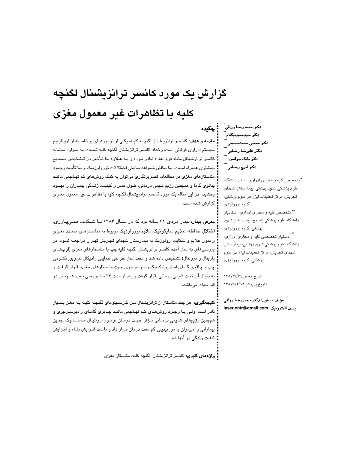# گزارش یک مورد کانسر ترانزیشنال لگنچه كليه با تظاهرات غير معمول مغزى

مقدمه و هدف: كانسر ترانزيشنال لگنچـه كليـه، يكـي از تومورهـاي برخاسـته از اروتليـوم سیستم ادراری فوقانی است. رخداد کانسر ترانزیشنال لگنچه کلیه نـسبت بـه مـوارد مـشابه کانسر ترانزشینال مثانه فوق|لعاده نـادر بـوده و بـه عـلاوه بـا تـأخیر در تـشـخیص صــحیح بیشتری همـراه اسـت. بـا پـافتن شـواهد بـالینی اخـتلالات نورولوژیـک و بـا تأییـد وجـود متاستازهای مغزی در مطالعات تصویرنگاری میتوان به کمک روشهای کم تهـاجمی ماننـد چاقوی گاما و همچنین رژیم شیمی درمانی، طـول عمـر و کیفیـت زنـدگی بیمـاران را بهبـود بخشید. در این مقاله یک مورد کانسر ترانزیشنال لگنچه کلیه با تظاهرات غیر معمول مغـزی گزارش شده است.

معرفی بیمار: بیمار مردی ۶۱ ساله بود که در سـال ۱۳۸۴ بـا شـکایت همـیپـارزی، اختلال حافظه، علايم سايكوتيک، علايم نورولوژيک مربوط به متاستازهاي متعـدد مغـزي و بدون علایم و شکایت ارولوژیک به بیمارستان شهدای تجریش تهـران مراجعـه نمـود. در بررسیهای به عمل آمده کانسر ترانزیشنال لگنچه کلیه چپ با متاستازهای مغزی (لوبهـای پاریتال و فرونتال) تشخیص داده شد و تحت عمل جراحی حمایتی رادیکال نفروپورتکتـومی چپ و چاقوی گامای استریوتاکسیک رادیوسرجری جهت متاستازهای مغزی قـرار گرفـت و به دنبال آن تحت شیمی درمانی قرار گرفت و بعد از مدت ۳۴ ماه بررسی بیمار همچنــان در قيد حيات ميباشد.

**نتیجهگیری:** هر چند متاستاز از ترانزیشنال سل کارسـینومای لگنچـه کلیـه بـه مغـز بـسیار نادر است، ولـی بـا وجـود روشهـای کـم تهـاجمی ماننـد چـاقوی گامـای رادیوســرجری و همچنین رژیمهای شـیمی درمـانی مـؤثر جهت درمـان تومـور اروتلیـال متاسـتاتیک، چنـین بیمارانی را میتوان با موربیدیتی کم تحت درمان قرار داد و باعث افـزایش بقـاء و افـزایش کیفیت زندگی در آنها شد.

: واژههای کلیدی: کانسر ترانزیشنال، لگنچه کلیه، متاستاز مغزی

دكتر محمدرضا رزاقى ً دکتر سيدحميدنيکنام <u>آ</u><br>... ۔<br>دکتر مجتبی محمدحسینی <u>\*\*\*</u><br>\*\*\* دكتر عليرضا رضاي*ي* ً دکٹر بابک جوانمرد ُ دکتر ایرج رضایی ً

.<br>- جکیده

\*متخصص کلیه و مجاری ادراری، استاد دانشگاه علوم پزشکی شهید بهشتی، بیمارستان شهدای تجريش، مركز تحقيقات ليزر در علوم پزشكى، گروه اورولوژی \*\*متخصص کلیه و مجاری ادراری، استادیار دانشگاه علوم پزشکی یاسوج، بیمارستان شهید بهشتی، گروه اورولوژی \*\*\*<br>\*\* دستیار تخصصی کلیه و مجاری ادراری، دانشگاه علوم پزشکی شهید بهشتی، بیمارستان شهدای تجریش، مرکز تحقیقات لیزر در علوم پزشکی، گروه اورولوژی

تاريخ وصول:١٣٨٧/٧/٧ تاریخ پذیرش:۱۳۸۷/۱۲/۱۹

مؤلف مسئول: دكتر محمدرضا رزاقى نيست الكترونيك: iaser.cntr@gmail.com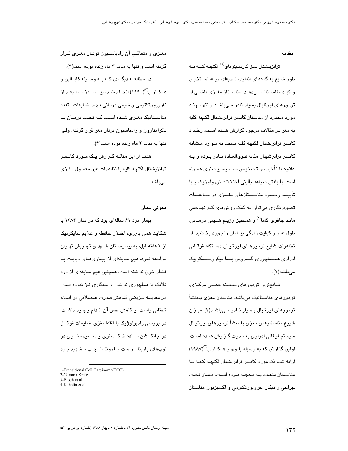#### مقدمه

ترانزیـشنال سـل کارسـینومای<sup>(۱)</sup> لگنچـه کلیـه بــه طور شایع به گرههای لنفاوی ناحیهای ریـه، اسـتخوان و کبـد متاسـتاز مـیدهـد. متاسـتاز مغـزی ناشـی از تومورهای اورتلیال بسیار نادر مـیباشـد و تنهـا چنـد مورد محدود از متاستاز کانسر ترانزیشنال لگنچه کلیه به مغز در مقالات موجود گزارش شـده اسـت. رخـداد كانسر ترانزیشنال لگنچه كلیه نسبت به مـوارد مـشابه كانسر ترانزشينال مثانه فـوق|لعـاده نــادر بـوده و بــه علاوه با تأخير در تـشخيص صـحيح بيـشتري همـراه است. با یافتن شواهد بالینی اختلالات نورولوژیک و با تأییـــد وجـــود متاســـتازهای مغـــزی در مطالعـــات تصویرنگاری می;توان به کمک روشهای کـم تهـاجمی مانند چاقوی گاما<sup>(۲)</sup> و همچنین رژیـم شــیمی درمــانی، طول عمر و کیفیت زندگی بیماران را بهبود بخـشید. از تظاهرات شايع تومورهـای اورتليـال دسـتگاه فوقـانی ادراری همساچوری گسروس پسا میکروسسکوپیک می باشد( ۱).

شايعترين تومورهاي سيستم عصبي مركـزي، تومورهای متاستاتیک میباشد. متاستاز مغزی بامنشأ تومورهای اورتلیال بسیار نـادر مـیباشـد(۲). میـزان شیوع متاستازهای مغزی با منشأ تومورهای اورتلیـال سیستم فوقانی ادراری به نـدرت گـزارش شـده اسـت. اولین گزارش که به وسیله بلــوچ و همکــاران''۱۹۸۷) ارایه شد، یک مورد کانسر ترانزیشنال لگنچــه کلیــه بــا متاستاز متعدد بـه مخچـه بـوده است. بیمـار تحت جراحی رادیکال نفروپورتکتومی و اکسیزیون متاستاز

مغـزی و متعاقب آن رادیاسـیون توتـال مغـزی قـرار گرفته است و تنها به مدت ۳ ماه زنده بوده است(۳). در مطالعــه دیگــری کــه بــه وســـیله کابــالین و همکـاران'''(١٩٩٠) انجــام شــد، بیمــار ١٠ مــاه بعــد از نفروپورتکتومی و شیمی درمانی دچار ضایعات متعدد متاسـتاتیک مغـزی شـده اسـت کـه تحـت درمـان بـا دگزامتازون و رادیاسیون توتال مغز قرار گرفته، ولـی تنها به مدت ٢ ماه زنده بوده است(۴).

هدف از این مقالــه گــزارش یــک مــورد کانــسر ترانزیشنال لگنچه کلیه با تظاهرات غیر معمـول مغـزی مىباشد.

### معرفي بيمار

بیمار مرد ۶۱ سالهای بود که در سال ۱۳۸۴ با شکایت همی پارزی، اختلال حافظه و علایم سایکوتیک از ۲ هفته قبل، به بیمارســتان شــهدای تجـریش تهـران مراجعه نمود. هیچ سابقهای از بیماریهـای دیابـت یـا فشار خون نداشته است، همچنین هیچ سابقهای از درد فلانک یا هماچوری نداشت و سیگاری نیز نبوده است. در معاینــه فیزیکـی کــاهش قـدرت عــضلانی در انــدام تحتانی راست و کاهش حس آن انـدام وجـود داشـت. در بررسی رادیولوژیک با MRI مغزی ضایعات فوکـال در جانکشن مساده خاکسستری و سسفید مغــزی در لوبهای پاریتال راست و فرونتـال چـپ مـشهود بـود

<sup>1-</sup>Transitional Cell Carcinoma(TCC)

<sup>2-</sup>Gamma Knife

<sup>3-</sup>Bloch et al.

<sup>4-</sup>Kabalin et al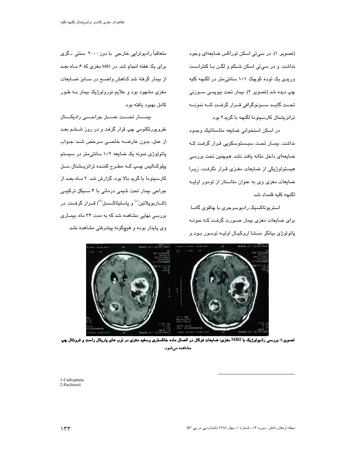(تصویر ۱). در سے تی اسکن توراکس ضایعهای وجود نداشت. و در سے تی اسکن شــکم و لگــن بــا کنتراســت وری*دی* یک توده کوچک ۱×۱ سانتی متر در لگنچه کلیه چپ دیده شد (تصویر ۲). بیمار تحت بیوپسی ســوزنی تحــت گايــد ســونوگرافي قــرار گرفــت كــه نمونـــه ترانزیشنال کارسینوما لگنچه با گرید۲ بود.

در اسکن استخوانی ضایعه متاستاتیک وجـود نداشت. بیمـار تحت سیـستوسکوپی قـرار گرفت کـه ضایعهای داخل مثانه یافت نشد. همچنین تحت بررسی هیستولوژیکی از ضایعات مغـزی قـرار نگرفـت، زیـرا ضایعات مغزی وی به عنوان متاستاز از تومور اولیـه لگنچه کلیه قلمداد شد.

استر ہو تاکسنک رادہو سر جری یا چاقوی گامیا برای ضایعات مغزی بیمار صوررت گرفت کـه نمونـه پاتولوژی بیانگر منشا اروتلیال اولیـه تومـور بـود و

متعاقباً رادیوتراپی خارجی با دوز ۲۰۰۰ سنتی ـ گری برای یک هفته انجام شد. در MRI مغزی که ۶ مـاه بعـد از بیمار گرفته شد کـاهش واضــح در سـایز ضــایعات مغزی مشهود بود و علایم نورولوژیک بیمار بـه طـور كامل بهبود يافته بود.

بیمـــار تحـــت عمـــل جراحــــی رادیکـــال نفرویورتکتومی چپ قرار گرفت و در روز شىشم بعـد از عمل، بدون عارضــه خاصــی مـرخص شـد. جـواب پاتولوژی نمونه یک ضایعه ۲×۱ سانتی متر در سیستم پیلوکـالیس چـپ کــه مطـرح کننـده ترانزیـشنال ســل کارسینوما با گرید بالا بود، گزارش شد. ۲ مـاه بعـد از جراحی بیمار تحت شیمی درمانی با ۴ سـیکل ترکیبـی (کـــاربوپلاتين<sup>(۱</sup>) و پاسليتاکـــسل<sup>(۲)</sup>) قـــرار گرفـــت. در بررسی نهایی مشاهده شد که به مدت ۳۴ ماه، بیمـاری وی پایدار بوده و هیچگونه پیشرفتی مشاهده نشد.



تصویر ۱: بررسی رادیولوژیک با MRI مغزی؛ ضایعات فوکال در اتصال ماده خاکستری وسفید مغزی در لوب های پاریتال راست و فرونتال چپ مشاهده میشود.

1-Carboplatin 2-Paclitaxel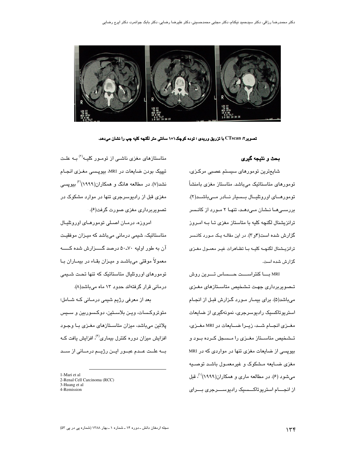

تصویر۲: CTscan با تزریق وریدی ؛ توده کوچک۱×۱ سانتی متر لگنچه کلیه چپ را نشان میدهد.

بحث و نتيجه گير*ى* 

شايعترين تومورهاي سيستم عصبي مركـزي، تومورهای متاستاتیک میباشد. متاستاز مغزی بامنشاً تومورهــای اوروتلیــال بــسیار نــادر مــیباشــد(۲). بررسـی هــا نــشان مــیدهــد، تنهــا ۲ مــورد از کانــسر ترانزیشنال لگنچه کلیه با متاستاز مغزی تـا بـه امـروز گزارش شده است(۴و ۳). در این مقالـه یـک مـورد کانـسر ترانزيشنال لكنهــه كليــه بــا تظــاهرات غيــر معمــول مغــزى گزارش شده است.

MRI بسا كنتراسست حسساس تسرين روش تـصوبربرداری جهـت تـشخيص متاسـتازهای مغـزی میباشد(۵). برای بیمـار مـورد گـزارش قبـل از انجـام استریوتاکسیک رادیوسرجری، نمونهگیری از ضایعات مغـزي انجـام شـد، زيـرا ضـايعات در MRI مغـزي، تــشخيص متاســتاز مغــزى را مــسـجل كــرده بــود و بیویسی از ضایعات مغزی تنها در مواردی که در MRI مغزی ضـایعه مـشکوک و غیرمعمـول باشـد توصـیه می شود (۶). در مطالعه ماری و همکاران(۱۹۹۹)<sup>(۱)</sup>، قبل از انجـــام استریوتاکـــسیک رادیوســـرجری بـــرای

متاستازهای مغزی ناشـی از تومـور کلیــه<sup>(۲)</sup> بــه علـت تیپیک بودن ضایعات در MRI، بیویسی مغـزی انجـام نشد(۷). در مطالعه هانگ و همکاران(۱۹۹۹)<sup>(۳)</sup> بیویسی مغزی قبل از رادیوسرجری تنها در موارد مشکوک در تصویربرداری مغزی صورت گرفت(۶).

امروزه، درمان اصلی تومورهای اوروتلیال متاستاتیک، شیمی درمانی میباشد که میـزان موفقیـت آن به طور اولیه ۷۰-۵۰ درصد گســزارش شده کـــــه معمولاً موقتی میباشد و میـزان بقـاء در بیمـاران بـا تومورهای اوروتلیال متاستاتیک که تنها تحت شـیمی درمانی قرار گرفتهاند حدود ۱۳ ماه میباشد(۸).

بعد از معرفی رژیم شیمی درمـانی کـه شـامل؛ متوتروکسات، ویـن بلاسـتین، دوکـسوربین و سـیس پلاتین میباشد، میزان متاسـتازهای مغـزی بـا وجـود افزایش میزان دوره کنترل بیماری<sup>(۴)</sup>، افزایش یافت کــه بــه علــت عــدم عبــور ايــن رژيــم درمــانى از ســد

1-Mari et al

- 2-Renal Cell Carcinoma (RCC)
- 3-Huang et al
- 4-Remission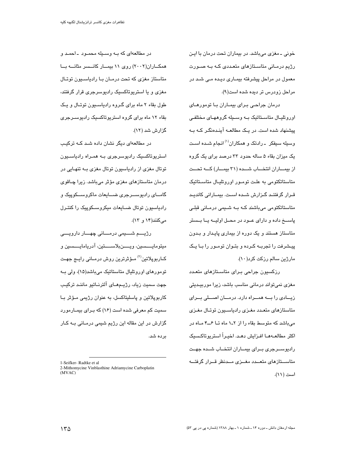خونی ـ مغزی میباشد. در بیماران تحت درمان با ایـن رژیم درمـانی متاسـتازهای متعـددی کـه بـه صـورت معمول در مراحل پیشرفته بیمـاری دیـده مـی شـد در مراحل زودرس تر دیده شده است(۹).

درمان جراحی بـرای بیمـاران بـا تومورهـای اوروتلیـال متاسـتاتیک بــه وســیله گروههـای مختلفـی پیشنهاد شده است. در یک مطالعـه آینـدهنگـر کـه بـه وسبله سبفکر ـ رادتک و همکاران<sup>(۱)</sup> انجام شـده اسـت یک میزان بقاء ۵ ساله حدود ۳۳ درصد برای یک گروه از بیمـاران انتخــاب شــده (۳۱ بیمــار) کــه تحــت متاستاتکتومی به علت تومـور اوروتلیـال متاسـتاتیک قـرار گرفتنـد گـزارش شـده اسـت. بیمـارانی کاندیـد متاستاتکتومی میباشند کـه بـه شـیمی درمـانی قبلـی پاســـخ داده و دارای عــود در محــل اولیـــه یــا بــستر متاستاز هستند و یک دوره از بیماری پایـدار و بـدون پیـشرفت را تجربــه کــرده و بتــوان تومــور را بــا یــک مارژین سالم رزکت کرد(۱۰).

رزکسیون جراحی بـرای متاسـتازهای متعـدد مغزی نمیتواند درمانی مناسب باشد، زیرا موربیـدیتی زیــادی را بـــه همـــراه دارد. درمـــان اصـــلی بـــرای متاستازهای متعـدد مغـزی رادیاسـیون توتـال مغـزی می باشد که متوسط بقاء را از ۲ـ۱ ماه تـا ۶ــ۴ مـاه در اكثر مطالعــهمــا افــزايش دهــد. اخيــراً استريوتاكـسيك رادیوســرجری بــرای بیمــاران انتخــاب شــده جهــت متاســتازهاى متعــدد مغــزى مــدنظر قــرار گرفتــه است (١١).

در مطالعهای که بـه وسـیله محمـود ـ احمـد و همکــاران(۲۰۰۲) روی ۱۱ بیمــار کانــسر مثانــه بــا متاستاز مغزی که تحت درمـان بـا رادیاسـیون توتـال مغزی و یا استریوتاکسیک رادیوسرجری قرار گرفتند، طول بقاء ۲ ماه برای گـروه رادیاسـیون توتـال و یـک بقاء ۱۲ ماه برای گروه استریوتاکسیک رادیوسـرجری گزارش شد (۱۲).

در مطالعهای دیگر نشان داده شـد کـه ترکیـب استریوتاکسیک رادیوسرجری بـه همـراه رادیاسـیون توتال مغزی از رادیاسیون توتال مغزی بـه تنهـایی در درمان متاستازهای مغزی مؤثر میباشد. زیرا چـاقوی گامــای رادیوســرجری ضـــایعات ماکروســـکوپیک و رادیاسیون توتال ضیایعات میکروسیکوییک را کنترل مے کنند(۱۴ و ۱۳).

رژيــــم شـــــيمى درمـــــانى چهــــار دارويــــى ميتومايـــــسين، ويـــــنبلاســـــتين، آدريامايــــسين و کــاربوپلاتین<sup>(۲)</sup> مــؤثرترین روش درمــانی رایــج جهـت تومورهای اوروتلیال متاستاتیک میباشد(۱۵)، ولی بــه جهت سميت زياد، رژيــمهــای آلترنــاتيو ماننـد ترکيـب کاربوپلاتین و پاسلیتاکسل، به عنوان رژیمی مـؤثر بـا سمیت کم معرفی شده است (۱۶) که بـرای بیمـارمورد گزارش در این مقاله این رژیم شیمی درمـانی بــه کــار ىردە شد.

<sup>1-</sup>Seifker-Radtke et al.

<sup>2-</sup>Mithomycine Vinblasthine Adriamycine Carboplatin  $(MVAC)$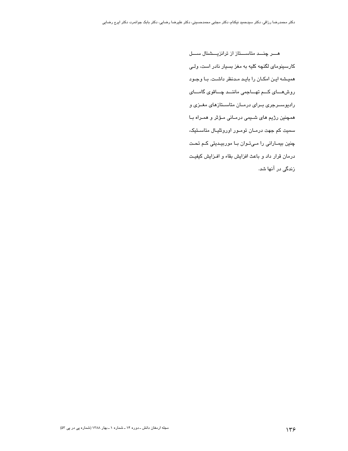هـــر چنـــد متاســـتاز از ترانزیـــشنال ســـل کارسینومای لگنچه کلیه به مغز بسیار نادر است، ولـی همیشه این امکـان را بایـد مـدنظر داشـت. بـا وجـود روش هسای کم تهساجمی ماننسد چساقوی گامسای رادیوسـرجری بـرای درمـان متاسـتازهای مغـزی و همچنین رژیم های شـیمی درمـانی مـؤثر و همـراه بـا سمیت کم جهت درمـان تومـور اوروتلیـال متاسـتیک، چنین بیمـارانی را مـیتـوان بـا موربیـدیتی کـم تحـت درمان قرار داد و باعث افزایش بقاء و افـزایش کیفیـت زندگی در آنها شد.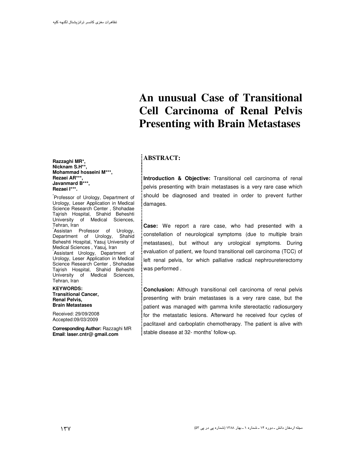# **An unusual Case of Transitional Cell Carcinoma of Renal Pelvis Presenting with Brain Metastases**

## **ABSTRACT:**

**Introduction & Objective:** Transitional cell carcinoma of renal pelvis presenting with brain metastases is a very rare case which should be diagnosed and treated in order to prevent further damages.

**Case:** We report a rare case, who had presented with a constellation of neurological symptoms (due to multiple brain metastases), but without any urological symptoms. During evaluation of patient, we found transitional cell carcinoma (TCC) of left renal pelvis, for which palliative radical nephroureterectomy was performed .

**Conclusion:** Although transitional cell carcinoma of renal pelvis presenting with brain metastases is a very rare case, but the patient was managed with gamma knife stereotactic radiosurgery for the metastatic lesions. Afterward he received four cycles of paclitaxel and carboplatin chemotherapy. The patient is alive with stable disease at 32- months' follow-up.

 **Razzaghi MR\*, Nicknam S.H\*\*, Mohammad hosseini M\*\*\*, Rezaei AR\*\*\*, Javanmard B\*\*\*, Rezaei I\*\*\*.**

\* Professor of Urology, Department of Urology, Leser Application in Medical Science Research Center , Shohadae Tajrish Hospital, Shahid Beheshti University of Medical Sciences, Tehran, Iran \* Assistan Professor of Urology, Department of Urology, Shahid Beheshti Hospital, Yasuj University of Medical Sciences , Yasuj, Iran \* Assistant Urology, Department of Urology, Leser Application in Medical Science Research Center , Shohadae Tajrish Hospital, Shahid Beheshti University of Medical Sciences, Tehran, Iran

**KEYWORDS: Transitional Cancer, Renal Pelvis, Brain Metastases**

Received: 29/09/2008 Accepted:09/03/2009

 **Corresponding Author:** Razzaghi MR **Email**: **laser.cntr@ gmail.com**